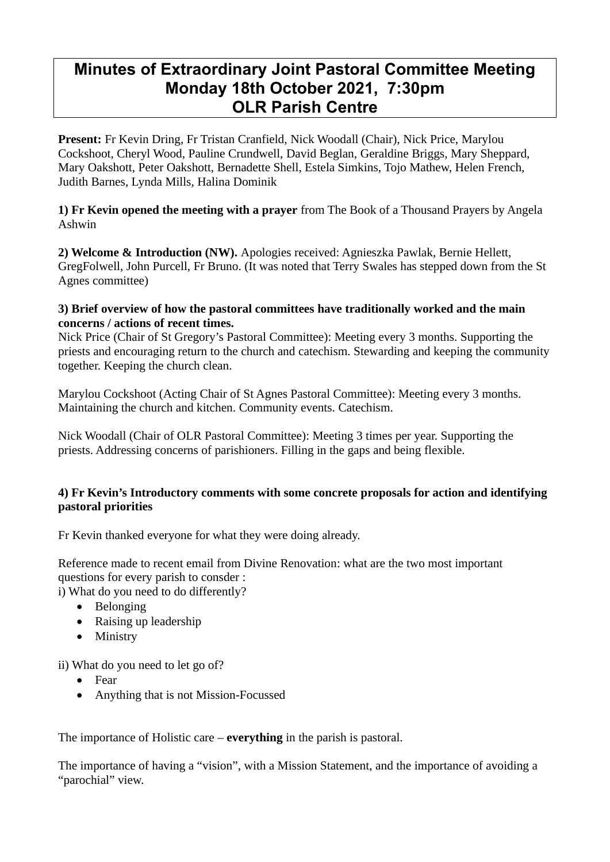# **Minutes of Extraordinary Joint Pastoral Committee Meeting Monday 18th October 2021, 7:30pm OLR Parish Centre**

**Present:** Fr Kevin Dring, Fr Tristan Cranfield, Nick Woodall (Chair), Nick Price, Marylou Cockshoot, Cheryl Wood, Pauline Crundwell, David Beglan, Geraldine Briggs, Mary Sheppard, Mary Oakshott, Peter Oakshott, Bernadette Shell, Estela Simkins, Tojo Mathew, Helen French, Judith Barnes, Lynda Mills, Halina Dominik

# **1) Fr Kevin opened the meeting with a prayer** from The Book of a Thousand Prayers by Angela Ashwin

**2) Welcome & Introduction (NW).** Apologies received: Agnieszka Pawlak, Bernie Hellett, GregFolwell, John Purcell, Fr Bruno. (It was noted that Terry Swales has stepped down from the St Agnes committee)

#### **3) Brief overview of how the pastoral committees have traditionally worked and the main concerns / actions of recent times.**

Nick Price (Chair of St Gregory's Pastoral Committee): Meeting every 3 months. Supporting the priests and encouraging return to the church and catechism. Stewarding and keeping the community together. Keeping the church clean.

Marylou Cockshoot (Acting Chair of St Agnes Pastoral Committee): Meeting every 3 months. Maintaining the church and kitchen. Community events. Catechism.

Nick Woodall (Chair of OLR Pastoral Committee): Meeting 3 times per year. Supporting the priests. Addressing concerns of parishioners. Filling in the gaps and being flexible.

# **4) Fr Kevin's Introductory comments with some concrete proposals for action and identifying pastoral priorities**

Fr Kevin thanked everyone for what they were doing already.

Reference made to recent email from Divine Renovation: what are the two most important questions for every parish to consder :

i) What do you need to do differently?

- Belonging
- Raising up leadership
- Ministry

ii) What do you need to let go of?

- Fear
- Anything that is not Mission-Focussed

The importance of Holistic care – **everything** in the parish is pastoral.

The importance of having a "vision", with a Mission Statement, and the importance of avoiding a "parochial" view.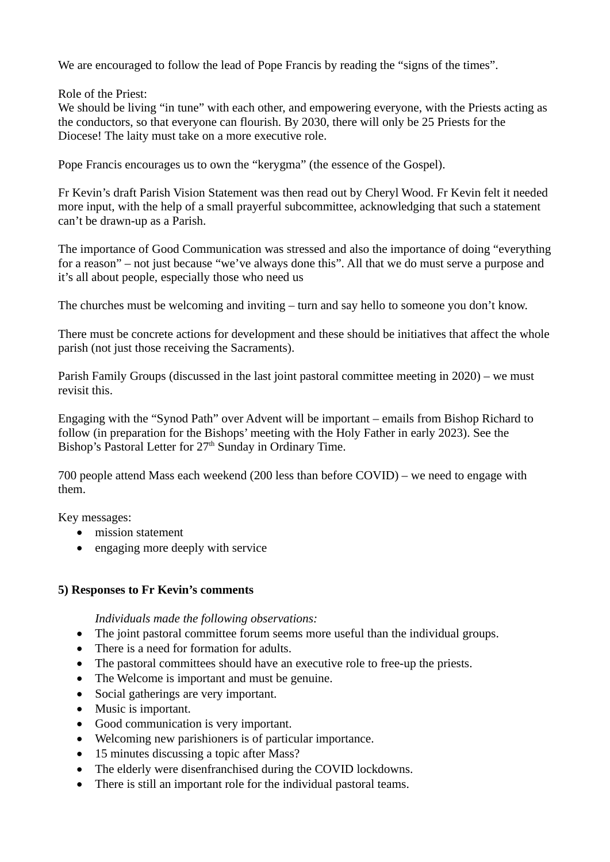We are encouraged to follow the lead of Pope Francis by reading the "signs of the times".

Role of the Priest:

We should be living "in tune" with each other, and empowering everyone, with the Priests acting as the conductors, so that everyone can flourish. By 2030, there will only be 25 Priests for the Diocese! The laity must take on a more executive role.

Pope Francis encourages us to own the "kerygma" (the essence of the Gospel).

Fr Kevin's draft Parish Vision Statement was then read out by Cheryl Wood. Fr Kevin felt it needed more input, with the help of a small prayerful subcommittee, acknowledging that such a statement can't be drawn-up as a Parish.

The importance of Good Communication was stressed and also the importance of doing "everything for a reason" – not just because "we've always done this". All that we do must serve a purpose and it's all about people, especially those who need us

The churches must be welcoming and inviting – turn and say hello to someone you don't know.

There must be concrete actions for development and these should be initiatives that affect the whole parish (not just those receiving the Sacraments).

Parish Family Groups (discussed in the last joint pastoral committee meeting in 2020) – we must revisit this.

Engaging with the "Synod Path" over Advent will be important – emails from Bishop Richard to follow (in preparation for the Bishops' meeting with the Holy Father in early 2023). See the Bishop's Pastoral Letter for  $27<sup>th</sup>$  Sunday in Ordinary Time.

700 people attend Mass each weekend (200 less than before COVID) – we need to engage with them.

Key messages:

- mission statement
- engaging more deeply with service

## **5) Responses to Fr Kevin's comments**

*Individuals made the following observations:* 

- The joint pastoral committee forum seems more useful than the individual groups.
- There is a need for formation for adults.
- The pastoral committees should have an executive role to free-up the priests.
- The Welcome is important and must be genuine.
- Social gatherings are very important.
- Music is important.
- Good communication is very important.
- Welcoming new parishioners is of particular importance.
- 15 minutes discussing a topic after Mass?
- The elderly were disenfranchised during the COVID lockdowns.
- There is still an important role for the individual pastoral teams.